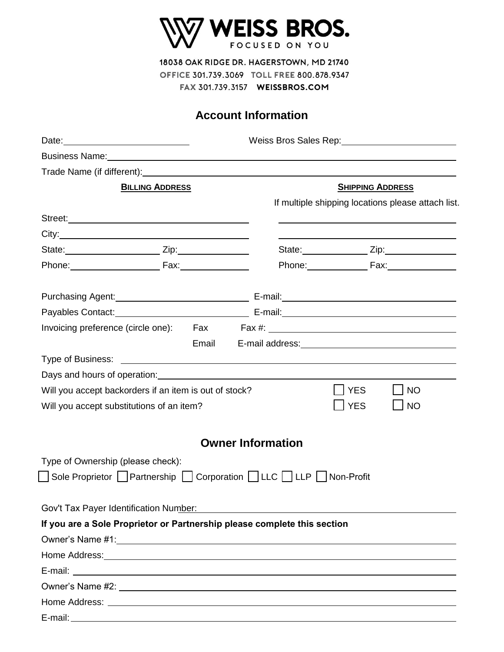

## **Account Information**

|                                   |                                                                                                                                                                                                                                |                          |                         |            | Weiss Bros Sales Rep: \\cdot \\cdot \\cdot \\cdot \\cdot \\cdot \\cdot \\cdot \\cdot \\cdot \\cdot \\cdot \\cdot \\cdot \\cdot \\cdot \\cdot \\cdot \\cdot \\cdot \\cdot \\cdot \\cdot \\cdot \\cdot \\cdot \\cdot \\cdot \\cd |
|-----------------------------------|--------------------------------------------------------------------------------------------------------------------------------------------------------------------------------------------------------------------------------|--------------------------|-------------------------|------------|--------------------------------------------------------------------------------------------------------------------------------------------------------------------------------------------------------------------------------|
|                                   | Business Name: Note of the state of the state of the state of the state of the state of the state of the state of the state of the state of the state of the state of the state of the state of the state of the state of the  |                          |                         |            |                                                                                                                                                                                                                                |
|                                   | Trade Name (if different): Name of the state of the state of the state of the state of the state of the state of the state of the state of the state of the state of the state of the state of the state of the state of the s |                          |                         |            |                                                                                                                                                                                                                                |
| <b>BILLING ADDRESS</b>            |                                                                                                                                                                                                                                |                          | <b>SHIPPING ADDRESS</b> |            |                                                                                                                                                                                                                                |
|                                   |                                                                                                                                                                                                                                |                          |                         |            | If multiple shipping locations please attach list.                                                                                                                                                                             |
|                                   |                                                                                                                                                                                                                                |                          |                         |            |                                                                                                                                                                                                                                |
|                                   |                                                                                                                                                                                                                                |                          |                         |            |                                                                                                                                                                                                                                |
|                                   |                                                                                                                                                                                                                                |                          |                         |            | State: <u>Zip:</u> Zip:                                                                                                                                                                                                        |
|                                   |                                                                                                                                                                                                                                |                          |                         |            | Phone: Fax: Fax:                                                                                                                                                                                                               |
|                                   | Purchasing Agent: <u>Contract Communication</u> E-mail: Contract Communication Communication Communication Communication                                                                                                       |                          |                         |            |                                                                                                                                                                                                                                |
|                                   |                                                                                                                                                                                                                                |                          |                         |            |                                                                                                                                                                                                                                |
|                                   | Invoicing preference (circle one): Fax Fax #: __________________________________                                                                                                                                               |                          |                         |            |                                                                                                                                                                                                                                |
|                                   |                                                                                                                                                                                                                                |                          |                         |            | Email E-mail address:<br><u>Email</u> E-mail address:<br><u>Email</u>                                                                                                                                                          |
|                                   |                                                                                                                                                                                                                                |                          |                         |            |                                                                                                                                                                                                                                |
|                                   |                                                                                                                                                                                                                                |                          |                         |            |                                                                                                                                                                                                                                |
|                                   | Will you accept backorders if an item is out of stock?                                                                                                                                                                         |                          |                         | <b>YES</b> | <b>NO</b>                                                                                                                                                                                                                      |
|                                   | Will you accept substitutions of an item?                                                                                                                                                                                      |                          |                         | <b>YES</b> | <b>NO</b>                                                                                                                                                                                                                      |
|                                   |                                                                                                                                                                                                                                | <b>Owner Information</b> |                         |            |                                                                                                                                                                                                                                |
| Type of Ownership (please check): |                                                                                                                                                                                                                                |                          |                         |            |                                                                                                                                                                                                                                |
|                                   |                                                                                                                                                                                                                                |                          |                         |            |                                                                                                                                                                                                                                |
|                                   | Gov't Tax Payer Identification Number:                                                                                                                                                                                         |                          |                         |            |                                                                                                                                                                                                                                |
|                                   | If you are a Sole Proprietor or Partnership please complete this section                                                                                                                                                       |                          |                         |            |                                                                                                                                                                                                                                |
|                                   | Owner's Name #1: 2008 2009 2009 2010 2020 2020 2021 2022 2023 2024 2022 2022 2023 2024 2022 2023 2024 2022 20                                                                                                                  |                          |                         |            |                                                                                                                                                                                                                                |
|                                   |                                                                                                                                                                                                                                |                          |                         |            |                                                                                                                                                                                                                                |
|                                   |                                                                                                                                                                                                                                |                          |                         |            |                                                                                                                                                                                                                                |
|                                   |                                                                                                                                                                                                                                |                          |                         |            |                                                                                                                                                                                                                                |
|                                   |                                                                                                                                                                                                                                |                          |                         |            |                                                                                                                                                                                                                                |
|                                   |                                                                                                                                                                                                                                |                          |                         |            |                                                                                                                                                                                                                                |

 $\overline{\phantom{a}}$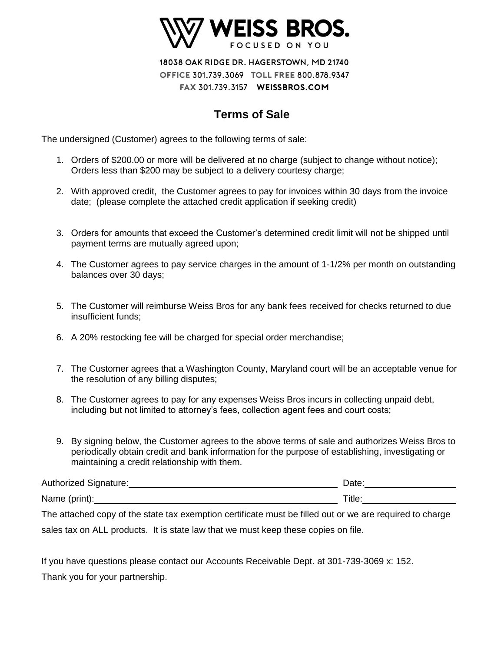

## **Terms of Sale**

The undersigned (Customer) agrees to the following terms of sale:

- 1. Orders of \$200.00 or more will be delivered at no charge (subject to change without notice); Orders less than \$200 may be subject to a delivery courtesy charge;
- 2. With approved credit, the Customer agrees to pay for invoices within 30 days from the invoice date; (please complete the attached credit application if seeking credit)
- 3. Orders for amounts that exceed the Customer's determined credit limit will not be shipped until payment terms are mutually agreed upon;
- 4. The Customer agrees to pay service charges in the amount of 1-1/2% per month on outstanding balances over 30 days;
- 5. The Customer will reimburse Weiss Bros for any bank fees received for checks returned to due insufficient funds;
- 6. A 20% restocking fee will be charged for special order merchandise;
- 7. The Customer agrees that a Washington County, Maryland court will be an acceptable venue for the resolution of any billing disputes;
- 8. The Customer agrees to pay for any expenses Weiss Bros incurs in collecting unpaid debt, including but not limited to attorney's fees, collection agent fees and court costs;
- 9. By signing below, the Customer agrees to the above terms of sale and authorizes Weiss Bros to periodically obtain credit and bank information for the purpose of establishing, investigating or maintaining a credit relationship with them.

| Authorized Signature: | )ate   |
|-----------------------|--------|
| Name (print):         | ™itle. |

The attached copy of the state tax exemption certificate must be filled out or we are required to charge sales tax on ALL products. It is state law that we must keep these copies on file.

If you have questions please contact our Accounts Receivable Dept. at 301-739-3069 x: 152. Thank you for your partnership.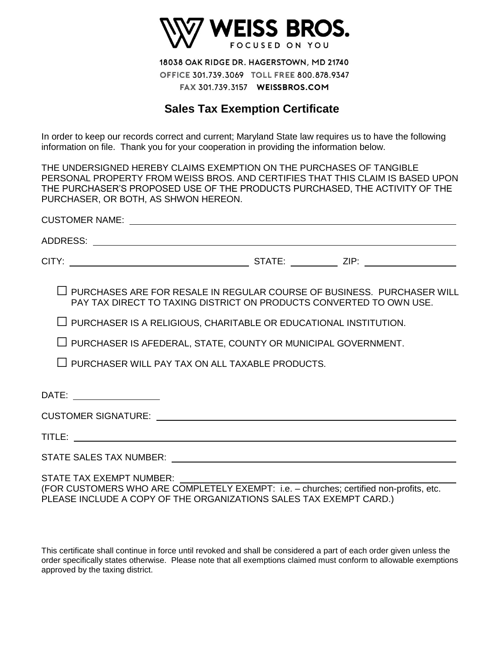

## **Sales Tax Exemption Certificate**

In order to keep our records correct and current; Maryland State law requires us to have the following information on file. Thank you for your cooperation in providing the information below.

THE UNDERSIGNED HEREBY CLAIMS EXEMPTION ON THE PURCHASES OF TANGIBLE PERSONAL PROPERTY FROM WEISS BROS. AND CERTIFIES THAT THIS CLAIM IS BASED UPON THE PURCHASER'S PROPOSED USE OF THE PRODUCTS PURCHASED, THE ACTIVITY OF THE PURCHASER, OR BOTH, AS SHWON HEREON.

| $\Box$ PURCHASES ARE FOR RESALE IN REGULAR COURSE OF BUSINESS. PURCHASER WILL<br>PAY TAX DIRECT TO TAXING DISTRICT ON PRODUCTS CONVERTED TO OWN USE. |  |  |
|------------------------------------------------------------------------------------------------------------------------------------------------------|--|--|
| $\Box$ PURCHASER IS A RELIGIOUS, CHARITABLE OR EDUCATIONAL INSTITUTION.                                                                              |  |  |
| $\Box$ PURCHASER IS AFEDERAL, STATE, COUNTY OR MUNICIPAL GOVERNMENT.                                                                                 |  |  |
| $\Box$ PURCHASER WILL PAY TAX ON ALL TAXABLE PRODUCTS.                                                                                               |  |  |
| DATE: ___________________                                                                                                                            |  |  |
|                                                                                                                                                      |  |  |
|                                                                                                                                                      |  |  |
|                                                                                                                                                      |  |  |
| <b>STATE TAX EXEMPT NUMBER:</b>                                                                                                                      |  |  |

(FOR CUSTOMERS WHO ARE COMPLETELY EXEMPT: i.e. – churches; certified non-profits, etc. PLEASE INCLUDE A COPY OF THE ORGANIZATIONS SALES TAX EXEMPT CARD.)

This certificate shall continue in force until revoked and shall be considered a part of each order given unless the order specifically states otherwise. Please note that all exemptions claimed must conform to allowable exemptions approved by the taxing district.